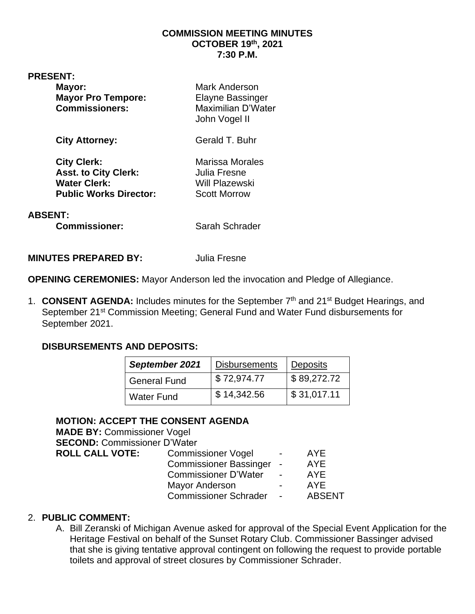#### **COMMISSION MEETING MINUTES OCTOBER 19th, 2021 7:30 P.M.**

#### **PRESENT:**

| Mayor:<br><b>Mayor Pro Tempore:</b><br><b>Commissioners:</b>                                              | <b>Mark Anderson</b><br>Elayne Bassinger<br>Maximilian D'Water<br>John Vogel II |
|-----------------------------------------------------------------------------------------------------------|---------------------------------------------------------------------------------|
| <b>City Attorney:</b>                                                                                     | Gerald T. Buhr                                                                  |
| <b>City Clerk:</b><br><b>Asst. to City Clerk:</b><br><b>Water Clerk:</b><br><b>Public Works Director:</b> | Marissa Morales<br>Julia Fresne<br><b>Will Plazewski</b><br><b>Scott Morrow</b> |
| <b>ABSENT:</b><br><b>Commissioner:</b>                                                                    | Sarah Schrader                                                                  |

**MINUTES PREPARED BY:** Julia Fresne

**OPENING CEREMONIES:** Mayor Anderson led the invocation and Pledge of Allegiance.

1. **CONSENT AGENDA:** Includes minutes for the September 7<sup>th</sup> and 21<sup>st</sup> Budget Hearings, and September 21<sup>st</sup> Commission Meeting; General Fund and Water Fund disbursements for September 2021.

### **DISBURSEMENTS AND DEPOSITS:**

| September 2021      | <b>Disbursements</b> | <b>Deposits</b> |
|---------------------|----------------------|-----------------|
| <b>General Fund</b> | \$72,974.77          | \$89,272.72     |
| <b>Water Fund</b>   | \$14,342.56          | \$31,017.11     |

## **MOTION: ACCEPT THE CONSENT AGENDA**

**MADE BY:** Commissioner Vogel **SECOND:** Commissioner D'Water **ROLL CALL VOTE:** Commissioner Vogel - AYE

| <b>COMMISSIONEL VUGL</b>      |                          | $\bigcap$ $\bigcup$ |
|-------------------------------|--------------------------|---------------------|
| <b>Commissioner Bassinger</b> |                          | <b>AYE</b>          |
| <b>Commissioner D'Water</b>   |                          | <b>AYE</b>          |
| <b>Mayor Anderson</b>         | $\overline{\phantom{0}}$ | AYE                 |
| <b>Commissioner Schrader</b>  |                          | <b>ABSENT</b>       |

### 2. **PUBLIC COMMENT:**

A. Bill Zeranski of Michigan Avenue asked for approval of the Special Event Application for the Heritage Festival on behalf of the Sunset Rotary Club. Commissioner Bassinger advised that she is giving tentative approval contingent on following the request to provide portable toilets and approval of street closures by Commissioner Schrader.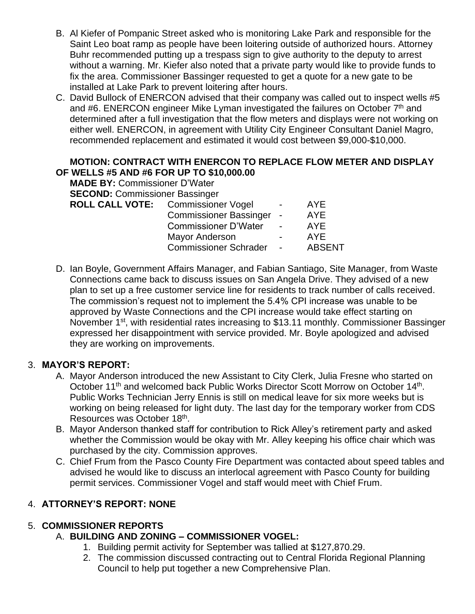- B. Al Kiefer of Pompanic Street asked who is monitoring Lake Park and responsible for the Saint Leo boat ramp as people have been loitering outside of authorized hours. Attorney Buhr recommended putting up a trespass sign to give authority to the deputy to arrest without a warning. Mr. Kiefer also noted that a private party would like to provide funds to fix the area. Commissioner Bassinger requested to get a quote for a new gate to be installed at Lake Park to prevent loitering after hours.
- C. David Bullock of ENERCON advised that their company was called out to inspect wells #5 and #6. ENERCON engineer Mike Lyman investigated the failures on October  $7<sup>th</sup>$  and determined after a full investigation that the flow meters and displays were not working on either well. ENERCON, in agreement with Utility City Engineer Consultant Daniel Magro, recommended replacement and estimated it would cost between \$9,000-\$10,000.

#### **MOTION: CONTRACT WITH ENERCON TO REPLACE FLOW METER AND DISPLAY OF WELLS #5 AND #6 FOR UP TO \$10,000.00**

| <b>MADE BY: Commissioner D'Water</b>  |                               |            |               |
|---------------------------------------|-------------------------------|------------|---------------|
| <b>SECOND: Commissioner Bassinger</b> |                               |            |               |
| ROLL CALL VOTE: Commissioner Vogel    |                               |            | AYE.          |
|                                       | <b>Commissioner Bassinger</b> | $\sim$     | <b>AYE</b>    |
|                                       | <b>Commissioner D'Water</b>   | $\sim$ $-$ | <b>AYE</b>    |
|                                       | <b>Mayor Anderson</b>         |            | <b>AYE</b>    |
|                                       | <b>Commissioner Schrader</b>  |            | <b>ABSENT</b> |
|                                       |                               |            |               |

D. Ian Boyle, Government Affairs Manager, and Fabian Santiago, Site Manager, from Waste Connections came back to discuss issues on San Angela Drive. They advised of a new plan to set up a free customer service line for residents to track number of calls received. The commission's request not to implement the 5.4% CPI increase was unable to be approved by Waste Connections and the CPI increase would take effect starting on November 1<sup>st</sup>, with residential rates increasing to \$13.11 monthly. Commissioner Bassinger expressed her disappointment with service provided. Mr. Boyle apologized and advised they are working on improvements.

## 3. **MAYOR'S REPORT:**

- A. Mayor Anderson introduced the new Assistant to City Clerk, Julia Fresne who started on October 11<sup>th</sup> and welcomed back Public Works Director Scott Morrow on October 14<sup>th</sup>. Public Works Technician Jerry Ennis is still on medical leave for six more weeks but is working on being released for light duty. The last day for the temporary worker from CDS Resources was October 18<sup>th</sup>.
- B. Mayor Anderson thanked staff for contribution to Rick Alley's retirement party and asked whether the Commission would be okay with Mr. Alley keeping his office chair which was purchased by the city. Commission approves.
- C. Chief Frum from the Pasco County Fire Department was contacted about speed tables and advised he would like to discuss an interlocal agreement with Pasco County for building permit services. Commissioner Vogel and staff would meet with Chief Frum.

## 4. **ATTORNEY'S REPORT: NONE**

## 5. **COMMISSIONER REPORTS**

## A. **BUILDING AND ZONING – COMMISSIONER VOGEL:**

- 1. Building permit activity for September was tallied at \$127,870.29.
- 2. The commission discussed contracting out to Central Florida Regional Planning Council to help put together a new Comprehensive Plan.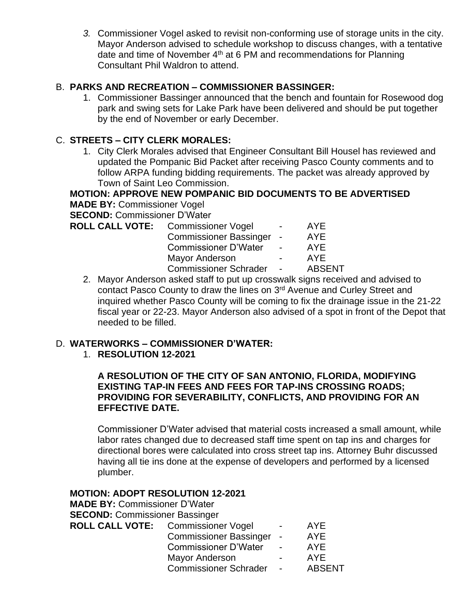*3.* Commissioner Vogel asked to revisit non-conforming use of storage units in the city. Mayor Anderson advised to schedule workshop to discuss changes, with a tentative date and time of November  $4<sup>th</sup>$  at 6 PM and recommendations for Planning Consultant Phil Waldron to attend.

### B. **PARKS AND RECREATION – COMMISSIONER BASSINGER:**

1. Commissioner Bassinger announced that the bench and fountain for Rosewood dog park and swing sets for Lake Park have been delivered and should be put together by the end of November or early December.

### C. **STREETS – CITY CLERK MORALES:**

1. City Clerk Morales advised that Engineer Consultant Bill Housel has reviewed and updated the Pompanic Bid Packet after receiving Pasco County comments and to follow ARPA funding bidding requirements. The packet was already approved by Town of Saint Leo Commission.

**MOTION: APPROVE NEW POMPANIC BID DOCUMENTS TO BE ADVERTISED MADE BY:** Commissioner Vogel

**SECOND:** Commissioner D'Water

| <b>ROLL CALL VOTE:</b> Commissioner Vogel | $\sim$ $\sim$            | <b>AYE</b>    |
|-------------------------------------------|--------------------------|---------------|
| Commissioner Bassinger -                  |                          | <b>AYE</b>    |
| <b>Commissioner D'Water</b>               | <b>Contract Contract</b> | <b>AYE</b>    |
| Mayor Anderson                            | $\sim$ 100 $\mu$         | AYE.          |
| <b>Commissioner Schrader</b>              | <b>Contract Contract</b> | <b>ABSENT</b> |
|                                           |                          |               |

2. Mayor Anderson asked staff to put up crosswalk signs received and advised to contact Pasco County to draw the lines on 3<sup>rd</sup> Avenue and Curley Street and inquired whether Pasco County will be coming to fix the drainage issue in the 21-22 fiscal year or 22-23. Mayor Anderson also advised of a spot in front of the Depot that needed to be filled.

### D. **WATERWORKS – COMMISSIONER D'WATER:**

1. **RESOLUTION 12-2021**

#### **A RESOLUTION OF THE CITY OF SAN ANTONIO, FLORIDA, MODIFYING EXISTING TAP-IN FEES AND FEES FOR TAP-INS CROSSING ROADS; PROVIDING FOR SEVERABILITY, CONFLICTS, AND PROVIDING FOR AN EFFECTIVE DATE.**

Commissioner D'Water advised that material costs increased a small amount, while labor rates changed due to decreased staff time spent on tap ins and charges for directional bores were calculated into cross street tap ins. Attorney Buhr discussed having all tie ins done at the expense of developers and performed by a licensed plumber.

### **MOTION: ADOPT RESOLUTION 12-2021**

| <b>MADE BY: Commissioner D'Water</b>      |                               |                              |               |
|-------------------------------------------|-------------------------------|------------------------------|---------------|
| <b>SECOND: Commissioner Bassinger</b>     |                               |                              |               |
| <b>ROLL CALL VOTE:</b> Commissioner Vogel |                               |                              | <b>AYE</b>    |
|                                           | <b>Commissioner Bassinger</b> | $\overline{\phantom{a}}$     | AYE           |
|                                           | <b>Commissioner D'Water</b>   | $\sim$                       | <b>AYE</b>    |
|                                           | <b>Mayor Anderson</b>         | $\qquad \qquad \blacksquare$ | <b>AYE</b>    |
|                                           | <b>Commissioner Schrader</b>  | $\overline{\phantom{a}}$     | <b>ABSENT</b> |
|                                           |                               |                              |               |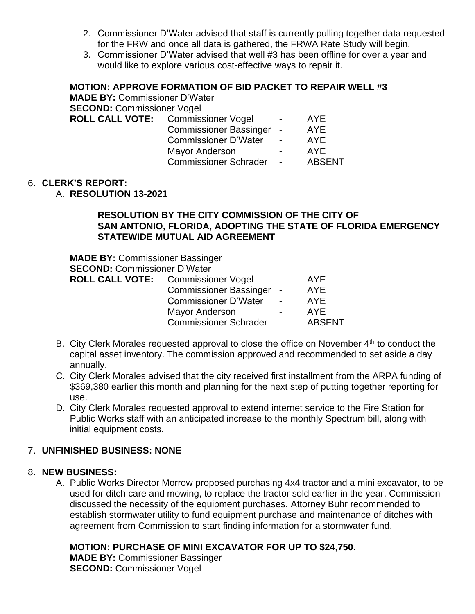- 2. Commissioner D'Water advised that staff is currently pulling together data requested for the FRW and once all data is gathered, the FRWA Rate Study will begin.
- 3. Commissioner D'Water advised that well #3 has been offline for over a year and would like to explore various cost-effective ways to repair it.

### **MOTION: APPROVE FORMATION OF BID PACKET TO REPAIR WELL #3**

| <b>MADE BY: Commissioner D'Water</b> |                               |                          |               |
|--------------------------------------|-------------------------------|--------------------------|---------------|
| <b>SECOND: Commissioner Vogel</b>    |                               |                          |               |
| ROLL CALL VOTE: Commissioner Vogel   |                               |                          | <b>AYE</b>    |
|                                      | <b>Commissioner Bassinger</b> | $\sim$ $-$               | <b>AYE</b>    |
|                                      | <b>Commissioner D'Water</b>   | $\sim$ $-$               | <b>AYE</b>    |
|                                      | <b>Mayor Anderson</b>         | $\sim$ 100 $\mu$         | <b>AYE</b>    |
|                                      | <b>Commissioner Schrader</b>  | <b>Contract Contract</b> | <b>ABSENT</b> |
|                                      |                               |                          |               |

#### 6. **CLERK'S REPORT:**

A. **RESOLUTION 13-2021**

#### **RESOLUTION BY THE CITY COMMISSION OF THE CITY OF SAN ANTONIO, FLORIDA, ADOPTING THE STATE OF FLORIDA EMERGENCY STATEWIDE MUTUAL AID AGREEMENT**

| <b>MADE BY: Commissioner Bassinger</b> |                               |                          |               |
|----------------------------------------|-------------------------------|--------------------------|---------------|
| <b>SECOND: Commissioner D'Water</b>    |                               |                          |               |
| ROLL CALL VOTE: Commissioner Vogel     |                               | $\overline{\phantom{a}}$ | AYE.          |
|                                        | <b>Commissioner Bassinger</b> | $\overline{\phantom{a}}$ | <b>AYE</b>    |
|                                        | <b>Commissioner D'Water</b>   | $\sim$                   | <b>AYE</b>    |
|                                        | <b>Mayor Anderson</b>         | -                        | <b>AYE</b>    |
|                                        | <b>Commissioner Schrader</b>  | $\blacksquare$           | <b>ABSENT</b> |

- B. City Clerk Morales requested approval to close the office on November  $4<sup>th</sup>$  to conduct the capital asset inventory. The commission approved and recommended to set aside a day annually.
- C. City Clerk Morales advised that the city received first installment from the ARPA funding of \$369,380 earlier this month and planning for the next step of putting together reporting for use.
- D. City Clerk Morales requested approval to extend internet service to the Fire Station for Public Works staff with an anticipated increase to the monthly Spectrum bill, along with initial equipment costs.

### 7. **UNFINISHED BUSINESS: NONE**

#### 8. **NEW BUSINESS:**

A. Public Works Director Morrow proposed purchasing 4x4 tractor and a mini excavator, to be used for ditch care and mowing, to replace the tractor sold earlier in the year. Commission discussed the necessity of the equipment purchases. Attorney Buhr recommended to establish stormwater utility to fund equipment purchase and maintenance of ditches with agreement from Commission to start finding information for a stormwater fund.

### **MOTION: PURCHASE OF MINI EXCAVATOR FOR UP TO \$24,750.**

**MADE BY:** Commissioner Bassinger **SECOND:** Commissioner Vogel